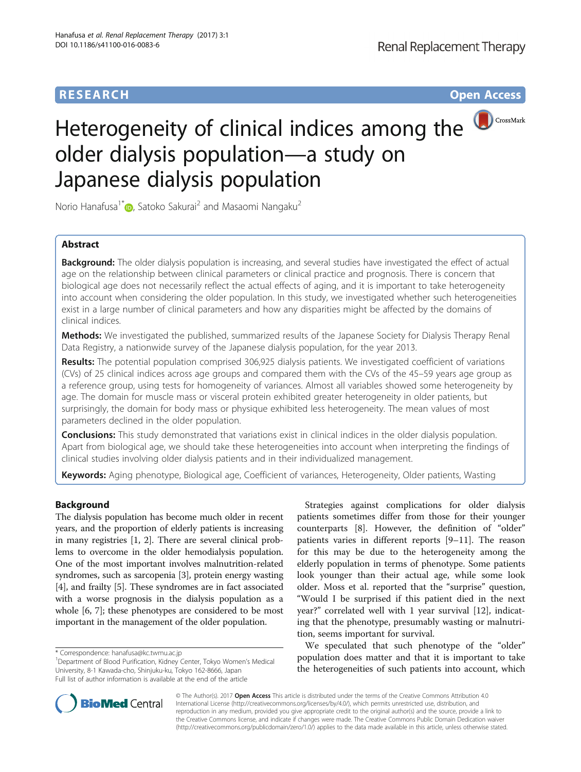# **RESEARCH RESEARCH** *CHECKER CHECKER CHECKER CHECKER CHECKER CHECKER CHECKER CHECKER CHECKER CHECKER CHECKER*



# Heterogeneity of clinical indices among the older dialysis population—a study on Japanese dialysis population

Norio Hanafusa<sup>1\*</sup> (b. Satoko Sakurai<sup>2</sup> and Masaomi Nangaku<sup>2</sup>

## Abstract

Background: The older dialysis population is increasing, and several studies have investigated the effect of actual age on the relationship between clinical parameters or clinical practice and prognosis. There is concern that biological age does not necessarily reflect the actual effects of aging, and it is important to take heterogeneity into account when considering the older population. In this study, we investigated whether such heterogeneities exist in a large number of clinical parameters and how any disparities might be affected by the domains of clinical indices.

Methods: We investigated the published, summarized results of the Japanese Society for Dialysis Therapy Renal Data Registry, a nationwide survey of the Japanese dialysis population, for the year 2013.

Results: The potential population comprised 306,925 dialysis patients. We investigated coefficient of variations (CVs) of 25 clinical indices across age groups and compared them with the CVs of the 45–59 years age group as a reference group, using tests for homogeneity of variances. Almost all variables showed some heterogeneity by age. The domain for muscle mass or visceral protein exhibited greater heterogeneity in older patients, but surprisingly, the domain for body mass or physique exhibited less heterogeneity. The mean values of most parameters declined in the older population.

**Conclusions:** This study demonstrated that variations exist in clinical indices in the older dialysis population. Apart from biological age, we should take these heterogeneities into account when interpreting the findings of clinical studies involving older dialysis patients and in their individualized management.

Keywords: Aging phenotype, Biological age, Coefficient of variances, Heterogeneity, Older patients, Wasting

## Background

The dialysis population has become much older in recent years, and the proportion of elderly patients is increasing in many registries [\[1, 2\]](#page-8-0). There are several clinical problems to overcome in the older hemodialysis population. One of the most important involves malnutrition-related syndromes, such as sarcopenia [\[3\]](#page-8-0), protein energy wasting [[4\]](#page-8-0), and frailty [[5\]](#page-8-0). These syndromes are in fact associated with a worse prognosis in the dialysis population as a whole [\[6, 7](#page-8-0)]; these phenotypes are considered to be most important in the management of the older population.

\* Correspondence: [hanafusa@kc.twmu.ac.jp](mailto:hanafusa@kc.twmu.ac.jp) <sup>1</sup>

<sup>1</sup>Department of Blood Purification, Kidney Center, Tokyo Women's Medical University, 8-1 Kawada-cho, Shinjuku-ku, Tokyo 162-8666, Japan Full list of author information is available at the end of the article

Strategies against complications for older dialysis patients sometimes differ from those for their younger counterparts [[8\]](#page-8-0). However, the definition of "older" patients varies in different reports [[9](#page-8-0)–[11](#page-8-0)]. The reason for this may be due to the heterogeneity among the elderly population in terms of phenotype. Some patients look younger than their actual age, while some look older. Moss et al. reported that the "surprise" question, "Would I be surprised if this patient died in the next year?" correlated well with 1 year survival [\[12](#page-8-0)], indicating that the phenotype, presumably wasting or malnutrition, seems important for survival.

We speculated that such phenotype of the "older" population does matter and that it is important to take the heterogeneities of such patients into account, which



© The Author(s). 2017 **Open Access** This article is distributed under the terms of the Creative Commons Attribution 4.0 International License [\(http://creativecommons.org/licenses/by/4.0/](http://creativecommons.org/licenses/by/4.0/)), which permits unrestricted use, distribution, and reproduction in any medium, provided you give appropriate credit to the original author(s) and the source, provide a link to the Creative Commons license, and indicate if changes were made. The Creative Commons Public Domain Dedication waiver [\(http://creativecommons.org/publicdomain/zero/1.0/](http://creativecommons.org/publicdomain/zero/1.0/)) applies to the data made available in this article, unless otherwise stated.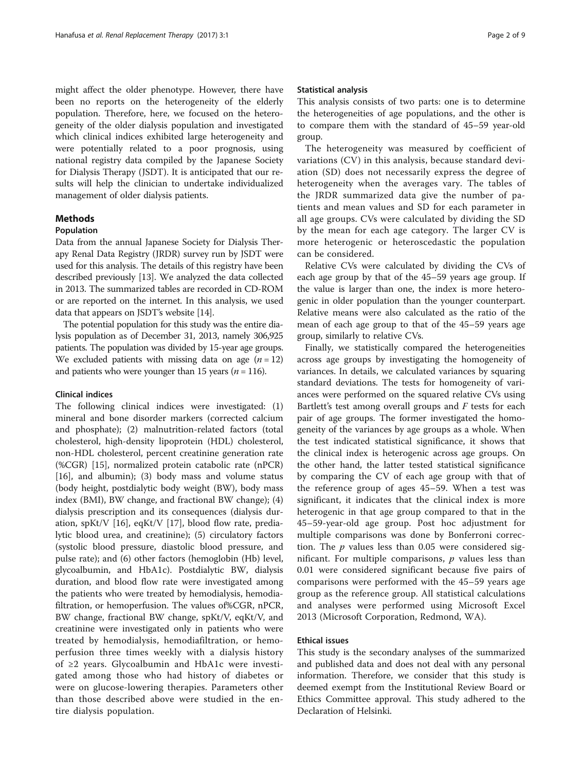might affect the older phenotype. However, there have been no reports on the heterogeneity of the elderly population. Therefore, here, we focused on the heterogeneity of the older dialysis population and investigated which clinical indices exhibited large heterogeneity and were potentially related to a poor prognosis, using national registry data compiled by the Japanese Society for Dialysis Therapy (JSDT). It is anticipated that our results will help the clinician to undertake individualized management of older dialysis patients.

## Methods

## Population

Data from the annual Japanese Society for Dialysis Therapy Renal Data Registry (JRDR) survey run by JSDT were used for this analysis. The details of this registry have been described previously [\[13\]](#page-8-0). We analyzed the data collected in 2013. The summarized tables are recorded in CD-ROM or are reported on the internet. In this analysis, we used data that appears on JSDT's website [\[14\]](#page-8-0).

The potential population for this study was the entire dialysis population as of December 31, 2013, namely 306,925 patients. The population was divided by 15-year age groups. We excluded patients with missing data on age  $(n = 12)$ and patients who were younger than 15 years ( $n = 116$ ).

## Clinical indices

The following clinical indices were investigated: (1) mineral and bone disorder markers (corrected calcium and phosphate); (2) malnutrition-related factors (total cholesterol, high-density lipoprotein (HDL) cholesterol, non-HDL cholesterol, percent creatinine generation rate (%CGR) [\[15](#page-8-0)], normalized protein catabolic rate (nPCR) [[16\]](#page-8-0), and albumin); (3) body mass and volume status (body height, postdialytic body weight (BW), body mass index (BMI), BW change, and fractional BW change); (4) dialysis prescription and its consequences (dialysis duration, spKt/V [[16\]](#page-8-0), eqKt/V [[17\]](#page-8-0), blood flow rate, predialytic blood urea, and creatinine); (5) circulatory factors (systolic blood pressure, diastolic blood pressure, and pulse rate); and (6) other factors (hemoglobin (Hb) level, glycoalbumin, and HbA1c). Postdialytic BW, dialysis duration, and blood flow rate were investigated among the patients who were treated by hemodialysis, hemodiafiltration, or hemoperfusion. The values of%CGR, nPCR, BW change, fractional BW change, spKt/V, eqKt/V, and creatinine were investigated only in patients who were treated by hemodialysis, hemodiafiltration, or hemoperfusion three times weekly with a dialysis history of ≥2 years. Glycoalbumin and HbA1c were investigated among those who had history of diabetes or were on glucose-lowering therapies. Parameters other than those described above were studied in the entire dialysis population.

### Statistical analysis

This analysis consists of two parts: one is to determine the heterogeneities of age populations, and the other is to compare them with the standard of 45–59 year-old group.

The heterogeneity was measured by coefficient of variations (CV) in this analysis, because standard deviation (SD) does not necessarily express the degree of heterogeneity when the averages vary. The tables of the JRDR summarized data give the number of patients and mean values and SD for each parameter in all age groups. CVs were calculated by dividing the SD by the mean for each age category. The larger CV is more heterogenic or heteroscedastic the population can be considered.

Relative CVs were calculated by dividing the CVs of each age group by that of the 45–59 years age group. If the value is larger than one, the index is more heterogenic in older population than the younger counterpart. Relative means were also calculated as the ratio of the mean of each age group to that of the 45–59 years age group, similarly to relative CVs.

Finally, we statistically compared the heterogeneities across age groups by investigating the homogeneity of variances. In details, we calculated variances by squaring standard deviations. The tests for homogeneity of variances were performed on the squared relative CVs using Bartlett's test among overall groups and  $F$  tests for each pair of age groups. The former investigated the homogeneity of the variances by age groups as a whole. When the test indicated statistical significance, it shows that the clinical index is heterogenic across age groups. On the other hand, the latter tested statistical significance by comparing the CV of each age group with that of the reference group of ages 45–59. When a test was significant, it indicates that the clinical index is more heterogenic in that age group compared to that in the 45–59-year-old age group. Post hoc adjustment for multiple comparisons was done by Bonferroni correction. The  $p$  values less than 0.05 were considered significant. For multiple comparisons,  $p$  values less than 0.01 were considered significant because five pairs of comparisons were performed with the 45–59 years age group as the reference group. All statistical calculations and analyses were performed using Microsoft Excel 2013 (Microsoft Corporation, Redmond, WA).

## Ethical issues

This study is the secondary analyses of the summarized and published data and does not deal with any personal information. Therefore, we consider that this study is deemed exempt from the Institutional Review Board or Ethics Committee approval. This study adhered to the Declaration of Helsinki.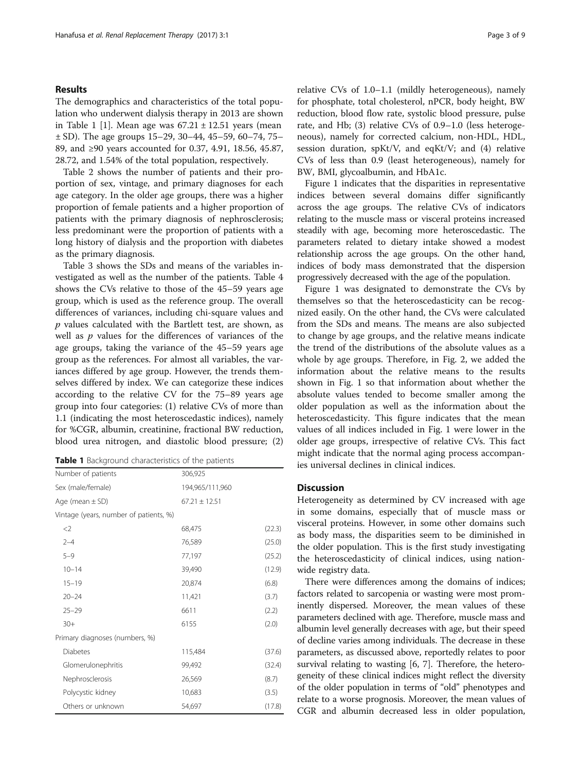## <span id="page-2-0"></span>Results

The demographics and characteristics of the total population who underwent dialysis therapy in 2013 are shown in Table [1](#page-8-0) [1]. Mean age was  $67.21 \pm 12.51$  years (mean ± SD). The age groups 15–29, 30–44, 45–59, 60–74, 75– 89, and ≥90 years accounted for 0.37, 4.91, 18.56, 45.87, 28.72, and 1.54% of the total population, respectively.

Table [2](#page-3-0) shows the number of patients and their proportion of sex, vintage, and primary diagnoses for each age category. In the older age groups, there was a higher proportion of female patients and a higher proportion of patients with the primary diagnosis of nephrosclerosis; less predominant were the proportion of patients with a long history of dialysis and the proportion with diabetes as the primary diagnosis.

Table [3](#page-4-0) shows the SDs and means of the variables investigated as well as the number of the patients. Table [4](#page-5-0) shows the CVs relative to those of the 45–59 years age group, which is used as the reference group. The overall differences of variances, including chi-square values and  $p$  values calculated with the Bartlett test, are shown, as well as  $p$  values for the differences of variances of the age groups, taking the variance of the 45–59 years age group as the references. For almost all variables, the variances differed by age group. However, the trends themselves differed by index. We can categorize these indices according to the relative CV for the 75–89 years age group into four categories: (1) relative CVs of more than 1.1 (indicating the most heteroscedastic indices), namely for %CGR, albumin, creatinine, fractional BW reduction, blood urea nitrogen, and diastolic blood pressure; (2)

|  |  | <b>Table 1</b> Background characteristics of the patients |  |  |
|--|--|-----------------------------------------------------------|--|--|
|--|--|-----------------------------------------------------------|--|--|

| Number of patients                     | 306,925           |        |
|----------------------------------------|-------------------|--------|
| Sex (male/female)                      | 194,965/111,960   |        |
| Age (mean $\pm$ SD)                    | $67.21 \pm 12.51$ |        |
| Vintage (years, number of patients, %) |                   |        |
| $<$ 2                                  | 68,475            | (22.3) |
| $2 - 4$                                | 76,589            | (25.0) |
| $5 - 9$                                | 77,197            | (25.2) |
| $10 - 14$                              | 39,490            | (12.9) |
| $15 - 19$                              | 20,874            | (6.8)  |
| $20 - 24$                              | 11,421            | (3.7)  |
| $25 - 29$                              | 6611              | (2.2)  |
| $30+$                                  | 6155              | (2.0)  |
| Primary diagnoses (numbers, %)         |                   |        |
| <b>Diabetes</b>                        | 115,484           | (37.6) |
| Glomerulonephritis                     | 99,492            | (32.4) |
| Nephrosclerosis                        | 26,569            | (8.7)  |
| Polycystic kidney                      | 10,683            | (3.5)  |
| Others or unknown                      | 54,697            | (17.8) |

relative CVs of 1.0–1.1 (mildly heterogeneous), namely for phosphate, total cholesterol, nPCR, body height, BW reduction, blood flow rate, systolic blood pressure, pulse rate, and Hb; (3) relative CVs of 0.9–1.0 (less heterogeneous), namely for corrected calcium, non-HDL, HDL, session duration, spKt/V, and eqKt/V; and (4) relative CVs of less than 0.9 (least heterogeneous), namely for BW, BMI, glycoalbumin, and HbA1c.

Figure [1](#page-6-0) indicates that the disparities in representative indices between several domains differ significantly across the age groups. The relative CVs of indicators relating to the muscle mass or visceral proteins increased steadily with age, becoming more heteroscedastic. The parameters related to dietary intake showed a modest relationship across the age groups. On the other hand, indices of body mass demonstrated that the dispersion progressively decreased with the age of the population.

Figure [1](#page-6-0) was designated to demonstrate the CVs by themselves so that the heteroscedasticity can be recognized easily. On the other hand, the CVs were calculated from the SDs and means. The means are also subjected to change by age groups, and the relative means indicate the trend of the distributions of the absolute values as a whole by age groups. Therefore, in Fig. [2](#page-6-0), we added the information about the relative means to the results shown in Fig. [1](#page-6-0) so that information about whether the absolute values tended to become smaller among the older population as well as the information about the heteroscedasticity. This figure indicates that the mean values of all indices included in Fig. [1](#page-6-0) were lower in the older age groups, irrespective of relative CVs. This fact might indicate that the normal aging process accompanies universal declines in clinical indices.

## **Discussion**

Heterogeneity as determined by CV increased with age in some domains, especially that of muscle mass or visceral proteins. However, in some other domains such as body mass, the disparities seem to be diminished in the older population. This is the first study investigating the heteroscedasticity of clinical indices, using nationwide registry data.

There were differences among the domains of indices; factors related to sarcopenia or wasting were most prominently dispersed. Moreover, the mean values of these parameters declined with age. Therefore, muscle mass and albumin level generally decreases with age, but their speed of decline varies among individuals. The decrease in these parameters, as discussed above, reportedly relates to poor survival relating to wasting [[6, 7](#page-8-0)]. Therefore, the heterogeneity of these clinical indices might reflect the diversity of the older population in terms of "old" phenotypes and relate to a worse prognosis. Moreover, the mean values of CGR and albumin decreased less in older population,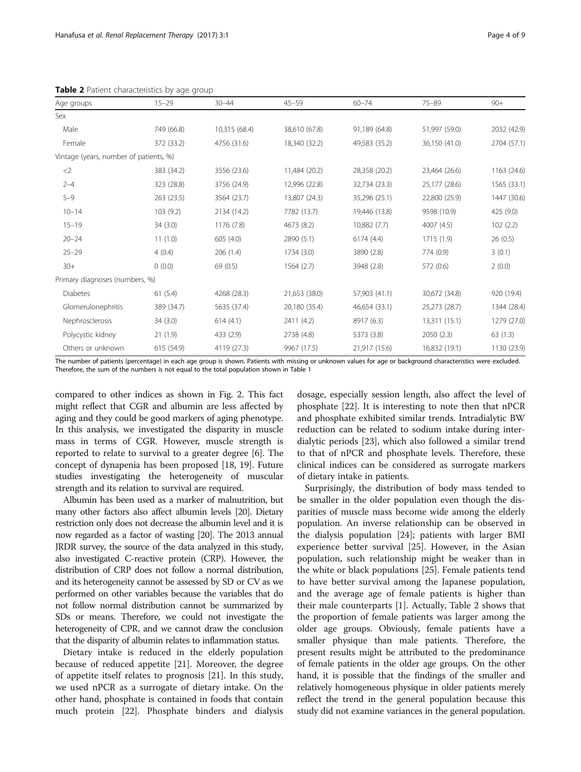|                                        |            |               | $45 - 59$     |               |               |             |
|----------------------------------------|------------|---------------|---------------|---------------|---------------|-------------|
| Age groups                             | $15 - 29$  | $30 - 44$     |               | $60 - 74$     | $75 - 89$     | $90+$       |
| <b>Sex</b>                             |            |               |               |               |               |             |
| Male                                   | 749 (66.8) | 10,315 (68.4) | 38,610 (67.8) | 91,189 (64.8) | 51,997 (59.0) | 2032 (42.9) |
| Female                                 | 372 (33.2) | 4756 (31.6)   | 18,340 (32.2) | 49,583 (35.2) | 36,150 (41.0) | 2704 (57.1) |
| Vintage (years, number of patients, %) |            |               |               |               |               |             |
| $<$ 2                                  | 383 (34.2) | 3556 (23.6)   | 11,484 (20.2) | 28,358 (20.2) | 23,464 (26.6) | 1163 (24.6) |
| $2 - 4$                                | 323 (28.8) | 3756 (24.9)   | 12,996 (22.8) | 32,734 (23.3) | 25,177 (28.6) | 1565 (33.1) |
| $5 - 9$                                | 263 (23.5) | 3564 (23.7)   | 13,807 (24.3) | 35,296 (25.1) | 22,800 (25.9) | 1447 (30.6) |
| $10 - 14$                              | 103(9.2)   | 2134 (14.2)   | 7782 (13.7)   | 19,446 (13.8) | 9598 (10.9)   | 425 (9.0)   |
| $15 - 19$                              | 34(3.0)    | 1176(7.8)     | 4673 (8.2)    | 10,882 (7.7)  | 4007(4.5)     | 102(2.2)    |
| $20 - 24$                              | 11(1.0)    | 605(4.0)      | 2890 (5.1)    | 6174(4.4)     | 1715 (1.9)    | 26(0.5)     |
| $25 - 29$                              | 4(0.4)     | 206(1.4)      | 1734 (3.0)    | 3890 (2.8)    | 774 (0.9)     | 3(0.1)      |
| $30+$                                  | 0(0.0)     | 69(0.5)       | 1564(2.7)     | 3948 (2.8)    | 572 (0.6)     | 2(0.0)      |
| Primary diagnoses (numbers, %)         |            |               |               |               |               |             |
| <b>Diabetes</b>                        | 61(5.4)    | 4268 (28.3)   | 21,653 (38.0) | 57,903 (41.1) | 30,672 (34.8) | 920 (19.4)  |
| Glomerulonephritis                     | 389 (34.7) | 5635 (37.4)   | 20,180 (35.4) | 46,654 (33.1) | 25,273 (28.7) | 1344 (28.4) |
| Nephrosclerosis                        | 34(3.0)    | 614(4.1)      | 2411 (4.2)    | 8917 (6.3)    | 13,311(15.1)  | 1279 (27.0) |
| Polycystic kidney                      | 21(1.9)    | 433 (2.9)     | 2738 (4.8)    | 5373 (3.8)    | 2050 (2.3)    | 63(1.3)     |
| Others or unknown                      | 615 (54.9) | 4119 (27.3)   | 9967 (17.5)   | 21,917 (15.6) | 16,832 (19.1) | 1130 (23.9) |

<span id="page-3-0"></span>Table 2 Patient characteristics by age group

The number of patients (percentage) in each age group is shown. Patients with missing or unknown values for age or background characteristics were excluded. Therefore, the sum of the numbers is not equal to the total population shown in Table [1](#page-2-0)

compared to other indices as shown in Fig. [2.](#page-6-0) This fact might reflect that CGR and albumin are less affected by aging and they could be good markers of aging phenotype. In this analysis, we investigated the disparity in muscle mass in terms of CGR. However, muscle strength is reported to relate to survival to a greater degree [\[6](#page-8-0)]. The concept of dynapenia has been proposed [\[18](#page-8-0), [19](#page-8-0)]. Future studies investigating the heterogeneity of muscular strength and its relation to survival are required.

Albumin has been used as a marker of malnutrition, but many other factors also affect albumin levels [\[20](#page-8-0)]. Dietary restriction only does not decrease the albumin level and it is now regarded as a factor of wasting [\[20\]](#page-8-0). The 2013 annual JRDR survey, the source of the data analyzed in this study, also investigated C-reactive protein (CRP). However, the distribution of CRP does not follow a normal distribution, and its heterogeneity cannot be assessed by SD or CV as we performed on other variables because the variables that do not follow normal distribution cannot be summarized by SDs or means. Therefore, we could not investigate the heterogeneity of CPR, and we cannot draw the conclusion that the disparity of albumin relates to inflammation status.

Dietary intake is reduced in the elderly population because of reduced appetite [[21\]](#page-8-0). Moreover, the degree of appetite itself relates to prognosis [[21](#page-8-0)]. In this study, we used nPCR as a surrogate of dietary intake. On the other hand, phosphate is contained in foods that contain much protein [[22\]](#page-8-0). Phosphate binders and dialysis dosage, especially session length, also affect the level of phosphate [\[22](#page-8-0)]. It is interesting to note then that nPCR and phosphate exhibited similar trends. Intradialytic BW reduction can be related to sodium intake during interdialytic periods [[23\]](#page-8-0), which also followed a similar trend to that of nPCR and phosphate levels. Therefore, these clinical indices can be considered as surrogate markers of dietary intake in patients.

Surprisingly, the distribution of body mass tended to be smaller in the older population even though the disparities of muscle mass become wide among the elderly population. An inverse relationship can be observed in the dialysis population [\[24](#page-8-0)]; patients with larger BMI experience better survival [[25\]](#page-8-0). However, in the Asian population, such relationship might be weaker than in the white or black populations [\[25](#page-8-0)]. Female patients tend to have better survival among the Japanese population, and the average age of female patients is higher than their male counterparts [\[1](#page-8-0)]. Actually, Table 2 shows that the proportion of female patients was larger among the older age groups. Obviously, female patients have a smaller physique than male patients. Therefore, the present results might be attributed to the predominance of female patients in the older age groups. On the other hand, it is possible that the findings of the smaller and relatively homogeneous physique in older patients merely reflect the trend in the general population because this study did not examine variances in the general population.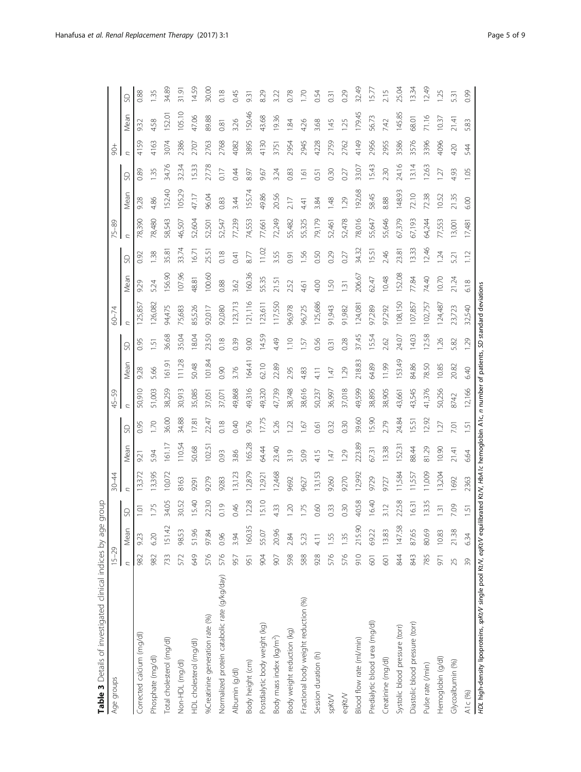<span id="page-4-0"></span>

| Age groups                                                                                                                                           | $15 - 29$      |             |                     | $30 - 44$ |                  |                       | 45-59  |        |                 | $60 - 74$      |                 |       | 75-89  |        |       | $\frac{1}{6}$ |        |                  |
|------------------------------------------------------------------------------------------------------------------------------------------------------|----------------|-------------|---------------------|-----------|------------------|-----------------------|--------|--------|-----------------|----------------|-----------------|-------|--------|--------|-------|---------------|--------|------------------|
|                                                                                                                                                      | $\overline{a}$ | Mean        | SD                  |           | Mean             | SD                    | C      | Mean   | SD              | $\overline{C}$ | Mean            | SD    | C      | Mean   | SD    |               | Mean   | SD               |
| Corrected calcium (mg/dl)                                                                                                                            | 982            | 9.23        | $\overline{\Omega}$ | 13,372    | 9.21             | 0.95                  | 50,910 | 9.28   | 0.95            | 125,857        | 9.29            | 0.92  | 78,390 | 9.28   | 0.89  | 4159          | 9.32   | 0.88             |
| Phosphate (mg/dl)                                                                                                                                    | 982            | 6.20        | 1.75                | 13,395    | 5.94             | 0 <sup>1</sup>        | 51,003 | 5.66   | $\overline{51}$ | 126,082        | 5.24            | 1.38  | 78,480 | 4.86   | 1.35  | 4163          | 4.58   | 1.35             |
| Total cholesterol (mg/dl)                                                                                                                            | 733            | 151.42      | 34.05               | 10,072    | 161.17           | 36.00                 | 38,259 | 161.91 | 36.68           | 94,475         | 156.90          | 35.81 | 58,543 | 52.40  | 34.76 | 3074          | 52.01  | 34.89            |
| Non-HDL (mg/dl)                                                                                                                                      | 572            | 98.53       | 30.52               | 8163      | 110.54           | 34.88                 | 30,913 | 111.28 | 35.04           | 75,683         | 107.96          | 33.74 | 46,507 | 105.29 | 32.34 | 2386          | 105.10 | $\frac{31.9}{ }$ |
| HDL cholesterol (mg/dl)                                                                                                                              | 649            | 51.96       | 15.40               | 9291      | 50.68            | 17.81                 | 35,085 | 50.48  | 18.04           | 85,526         | 48.81           | 16.71 | 52,604 | 47.17  | 15.33 | 2707          | 47.06  | 14.59            |
| %Creatinine generation rate (%)                                                                                                                      | 576            | 97.84       | 22.30               | 9279      | 102.51           | 22.47                 | 37,051 | 101.84 | 23.50           | 92,017         | 100.60          | 25.51 | 52,501 | 96.04  | 27.78 | 2763          | 89.88  | 30.00            |
| Normalized protein catabolic rate (g/kg/day)                                                                                                         | 576            | 0.96        | 0.19                | 9283      | 0.93             | 0.18                  | 37,071 | 0.90   | 0.18            | 92,080         | 0.88            | 0.18  | 52,547 | 0.83   | 0.17  | 2768          | 0.81   | 0.18             |
| Albumin (g/dl)                                                                                                                                       | 957            | 3.94        | 0.46                | 13,123    | 3.86             | 0.40                  | 49,868 | 3.76   | 0.39            | 123,713        | 3.62            | 0.41  | 77,239 | 3.44   | 0.44  | 4082          | 3.26   | 0.45             |
| Body height (cm)                                                                                                                                     | 951            | 160.35      | 12.28               | 12,879    | 165.28           | 9.76                  | 49,316 | 164.41 | 9.00            | 121,116        | 160.36          | 8.77  | 74,553 | 155.74 | 8.97  | 3895          | 150.46 | 9.31             |
| Postdialytic body weight (kg)                                                                                                                        | 904            | 55.07       | 15.10               | 12,921    | 64.44            | 17.75                 | 49,320 | 62.10  | 14.59           | 123,611        | 55.35           | 1102  | 77,661 | 49.86  | 9.67  | 4130          | 43.68  | 8.29             |
| Body mass index (kg/m <sup>2</sup> )                                                                                                                 | 907            | 20.96       | 4.33                | 12,468    | 23.40            | 5.26                  | 47,739 | 22.89  | 4.49            | 117,550        | 21.51           | 3.55  | 72,249 | 20.56  | 3.24  | 3751          | 19.36  | 3.22             |
| Body weight reduction (kg)                                                                                                                           | 598            | 2.84        | 1.20                | 9692      | 3.19             | $\tilde{\mathcal{L}}$ | 38,748 | 2.95   | $\frac{1}{2}$   | 96,978         | 2.52            | 0.91  | 55,482 | 2.17   | 0.83  | 2954          | 84     | 0.78             |
| Fractional body weight reduction (%)                                                                                                                 | 588            | 5.23        | 1.75                | 9627      | 5.09             | $\overline{6}$        | 38,616 | 4.83   | $-57$           | 96,725         | 4.61            | 1.56  | 55,325 | 4.41   | 1.61  | 2945          | 4.26   | $\overline{5}$   |
| Session duration (h)                                                                                                                                 | 928            |             | 0.60                | 13,153    | 4.15             | 0.61                  | 50,237 | 4.11   | 0.56            | 125,686        | 4.00            | 0.50  | 79,179 | 3.84   | 0.51  | 4228          | 3.68   | 0.54             |
| spKt/V                                                                                                                                               | 576            | 55          | 0.33                | 9260      | $\overline{147}$ | 0.32                  | 36,997 | 1.47   | 0.31            | 91,943         | $-50$           | 0.29  | 52,461 | 1.48   | 0.30  | 2759          | $-45$  | 0.31             |
| eqKt/V                                                                                                                                               | 576            | <b>1.35</b> | 0.30                | 9270      | 1.29             | 0.30                  | 37,018 | 1.29   | 0.28            | 91,982         | $\overline{31}$ | 0.27  | 52,478 | 1.29   | 0.27  | 2762          | 25     | 0.29             |
| Blood flow rate (ml/min)                                                                                                                             | 910            | 215.90      | 40.58               | 12,992    | 223.89           | 39.60                 | 49,599 | 218.83 | 37.45           | 124,081        | 206.67          | 34.32 | 78,016 | 192.68 | 33.07 | 4149          | 179.45 | 32.49            |
| Predialytic blood urea (mg/dl)                                                                                                                       | 601            | 69.22       | 16.40               | 9729      | 6731             | 15.90                 | 38,895 | 64.89  | 15.54           | 97,289         | 62.47           | 1551  | 55,647 | 58.45  | 15.43 | 2956          | 56.73  | 15.77            |
| Creatinine (mg/dl)                                                                                                                                   | 601            | 13.83       | 3.12                | 9727      | 13.38            | 2.79                  | 38,905 | 11.99  | 2.62            | 97,292         | 10.48           | 2.46  | 55,646 | 888    | 2.30  | 2955          | 7.42   | 2.15             |
| Systolic blood pressure (torr)                                                                                                                       | 844            | 147.58      | 22.58               | 1,584     | 152.31           | 24.84                 | 43,661 | 153.49 | 24.07           | 108,150        | 152.08          | 23.81 | 67,379 | 148.93 | 24.16 | 3586          | 145.85 | 25.04            |
| Diastolic blood pressure (torr)                                                                                                                      | 843            | 87.65       | 1631                | 1,557     | 88.44            | 5.51                  | 43,545 | 84.86  | <b>14.03</b>    | 107,857        | 77.84           | 13.33 | 67,193 | 72.10  | 13.14 | 3576          | 68.01  | 1334             |
| Pulse rate (/min)                                                                                                                                    | 785            | 80.69       | 13.35               | 11,009    | 81.29            | 12.92                 | 41,376 | 78.50  | 12.58           | 102,757        | 74.40           | 12.46 | 64,244 | 72.38  | 12.63 | 3396          | 71.16  | 1249             |
| Hemoglobin (g/dl)                                                                                                                                    | 971            | 10.83       | 1.31                | 13,204    | 10.90            | 27                    | 50,256 | 10.85  | 1.26            | 124,487        | 0.70            | 1.24  | 77,553 | 10.52  | 1.27  | 4096          | 10.37  | 125              |
| Glycoalbumin (%)                                                                                                                                     | 25             | 21.38       | 7.09                | 1692      | 21.41            | 7.01                  | 8742   | 20.82  | 5.82            | 23,723         | 21.24           | 5.21  | 13,001 | 21.35  | 4.93  | 420           | 21.41  | 531              |
| A1c (%)                                                                                                                                              | 39             | 6.34        | 1.51                | 2363      | 6.64             | $\overline{\cdot}$    | 12,166 | 6.40   | 1.29            | 32,540         | 6.18            | 1.12  | 17,481 | 6.00   | 1.05  | 544           | 5.83   | 0.99             |
| HDL high-density lipoproteins, spKt/V single pool Kt/V, eqKt/V equilibrated Kt/V, HbA1c hemoglobin A1c, n number of patients, SD standard deviations |                |             |                     |           |                  |                       |        |        |                 |                |                 |       |        |        |       |               |        |                  |

Table 3 Details of investigated clinical indices by age group **Table 3** Details of investigated clinical indices by age group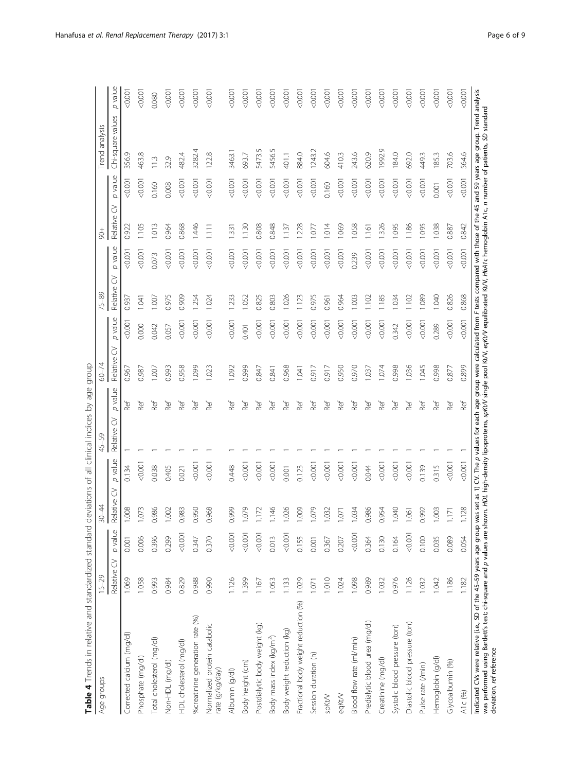<span id="page-5-0"></span>

| 5456.5<br>1992.9<br>3282.4<br>5473.5<br>1243.2<br>3463.1<br>122.8<br>604.6<br>243.6<br>620.9<br>184.0<br>692.0<br>703.6<br>356.9<br>463.8<br>482.4<br>693.7<br>884.0<br>410.3<br>449.3<br>185.3<br>401.1<br>32.9<br>113<br>p value<br>0.001<br>0.001<br>0.001<br>0.0001<br>0.0001<br>0.0001<br>0000<br>0.001<br>0.001<br>0.0001<br>0.001<br>0.001<br>0.001<br>0.001<br>0.001<br>0000<br>0.0001<br>0.0001<br>0.001<br>0.0001<br>0.008<br>0.160<br>0.160<br>0.001<br>ੇ<br>Relative<br>0.868<br>1.326<br>1.038<br>1.013<br>0.964<br>1.446<br>1.130<br>0.808<br>0.848<br>1.228<br>1.014<br>1.069<br>1.058<br>1.186<br>1.095<br>0.922<br>1.105<br>1111<br>1.095<br>0.887<br>1.137<br>1.161<br>$-07$<br>331<br>p value<br>0.001<br>0.001<br>0.001<br>50.001<br>0.001<br>0.001<br>0.001<br>0.001<br>0.001<br>0.001<br>0.001<br>0.001<br>0.001<br>0.001<br>0.001<br>0.001<br>0.001<br>0.001<br>0.001<br>0.001<br>0.001<br>0.001<br>0.239<br>0.073<br>ੇ<br>Relative<br>0.975<br>0.909<br>1.026<br>0.975<br>1.089<br>1.040<br>0.826<br>1.254<br>1.024<br>233<br>1.052<br>0.825<br>0.803<br>1.123<br>0.964<br>1.003<br>1.185<br>.034<br>1102<br>.007<br>102<br>0.961<br>0.937<br>641<br>p value<br>0.001<br>0.001<br>0.001<br>0.001<br>0.001<br>0.001<br>0.001<br>0.0001<br>0.001<br>0.001<br>0.0001<br>0.0001<br>0.001<br>0.0001<br>0.0001<br>0.0001<br>0.001<br>0000<br>0.342<br>0.289<br>0.000<br>0.042<br>0.401<br>0.057<br>ੇ<br>Relative<br>0.999<br>1.036<br>1.045<br>0.998<br>0.993<br>0.958<br>1.099<br>0.968<br>0.917<br>0.950<br>0.970<br>1.074<br>0.998<br>1.007<br>1.023<br>1.092<br>0.847<br>0.917<br>0.877<br>0.967<br>0.987<br>0.841<br>1.041<br>1.037<br>p value<br>Ref<br>Ref<br>Ref<br>Ref<br>Ref<br>Ref<br>Ref<br>Ref<br>Ref<br>Ref<br>Ref<br>Ref<br>Ref<br>Ref<br>Ref<br>Ref<br><b>Ref</b><br>Ref<br>Ref<br>Ref<br>Ref<br>Ref<br>Ref<br>Ref<br>$\gtrsim$<br>Relative<br>p value<br>0.001<br>0.001<br>0.001<br>0.001<br>0.001<br>0.001<br>0.001<br>0.001<br>0.0001<br>0.0001<br>0.0001<br>0.0001<br>0.0001<br>0.0001<br>0.448<br>0.044<br>0.139<br>0.038<br>0.405<br>0.123<br>0.315<br>0.134<br>0.021<br>0.001<br>5<br>Relative<br>0.986<br>0.950<br>0.999<br>1.079<br>1.026<br>1.009<br>1.079<br>0.986<br>0.954<br>1.040<br>1.008<br>1.073<br>0.983<br>0.968<br>1.146<br>1.034<br>0.992<br>1.003<br>1.002<br>1.172<br>1.032<br>1.061<br>1.171<br>1.071<br>p value<br>0.001<br>0.001<br>0.001<br>0.001<br>0.001<br>0.001<br>0.001<br>0.299<br>0.006<br>0.089<br>0.396<br>0.013<br>0.364<br>0.347<br>0.370<br>0.155<br>0.130<br>0.164<br>0.100<br>0.035<br>0.207<br>0.001<br>0.001<br>0.367<br>$\gtrsim$<br>Relative<br>1.069<br>1.058<br>0.988<br>0.976<br>0.829<br>0.990<br>1.126<br>1.399<br>1.029<br>1.010<br>1.098<br>0.989<br>1.032<br>1.126<br>1.186<br>0.993<br>0.984<br>1.053<br>133<br>1.024<br>1.032<br>1.042<br>1.167<br>$-0.01$<br>Fractional body weight reduction (%)<br>%creatinine generation rate (%)<br>Predialytic blood urea (mg/dl)<br>Diastolic blood pressure (torr)<br>Normalized protein catabolic<br>Postdialytic body weight (kg)<br>Systolic blood pressure (torr)<br>Body weight reduction (kg)<br>Corrected calcium (mg/dl)<br>Body mass index (kg/m <sup>2</sup> )<br>Total cholesterol (mg/dl)<br>Blood flow rate (ml/min)<br>HDL cholesterol (mg/dl)<br>Session duration (h)<br>Phosphate (mg/dl)<br>Hemoglobin (g/dl)<br>Creatinine (mg/dl)<br>Non-HDL (mg/dl)<br>Glycoalbumin (%)<br>Body height (cm)<br>Pulse rate (/min)<br>rate (g/kg/day)<br>Albumin (g/dl)<br>eqKt/V<br>spKt/V | Table 4 Trends in relative and standardized standard<br>Age groups | $15 - 29$ |       | $30 - 44$ |       | deviations of all clinical indices by age group<br>45-59 |     | 60-74 |        | $-8 - 8$ |       | å     |       | Trend analysis    |         |
|--------------------------------------------------------------------------------------------------------------------------------------------------------------------------------------------------------------------------------------------------------------------------------------------------------------------------------------------------------------------------------------------------------------------------------------------------------------------------------------------------------------------------------------------------------------------------------------------------------------------------------------------------------------------------------------------------------------------------------------------------------------------------------------------------------------------------------------------------------------------------------------------------------------------------------------------------------------------------------------------------------------------------------------------------------------------------------------------------------------------------------------------------------------------------------------------------------------------------------------------------------------------------------------------------------------------------------------------------------------------------------------------------------------------------------------------------------------------------------------------------------------------------------------------------------------------------------------------------------------------------------------------------------------------------------------------------------------------------------------------------------------------------------------------------------------------------------------------------------------------------------------------------------------------------------------------------------------------------------------------------------------------------------------------------------------------------------------------------------------------------------------------------------------------------------------------------------------------------------------------------------------------------------------------------------------------------------------------------------------------------------------------------------------------------------------------------------------------------------------------------------------------------------------------------------------------------------------------------------------------------------------------------------------------------------------------------------------------------------------------------------------------------------------------------------------------------------------------------------------------------------------------------------------------------------------------------------------------------------------------------------------------------------------------------------------------------------------------------------------------------------------------------------------------------------------------------------------------------------------------------------------------------------------------------------------------------------------------------------------------------------------------------------------------------------------------------------------------------------------------------------------------------------|--------------------------------------------------------------------|-----------|-------|-----------|-------|----------------------------------------------------------|-----|-------|--------|----------|-------|-------|-------|-------------------|---------|
|                                                                                                                                                                                                                                                                                                                                                                                                                                                                                                                                                                                                                                                                                                                                                                                                                                                                                                                                                                                                                                                                                                                                                                                                                                                                                                                                                                                                                                                                                                                                                                                                                                                                                                                                                                                                                                                                                                                                                                                                                                                                                                                                                                                                                                                                                                                                                                                                                                                                                                                                                                                                                                                                                                                                                                                                                                                                                                                                                                                                                                                                                                                                                                                                                                                                                                                                                                                                                                                                                                                                |                                                                    |           |       |           |       |                                                          |     |       |        |          |       |       |       | Chi-square values | p value |
|                                                                                                                                                                                                                                                                                                                                                                                                                                                                                                                                                                                                                                                                                                                                                                                                                                                                                                                                                                                                                                                                                                                                                                                                                                                                                                                                                                                                                                                                                                                                                                                                                                                                                                                                                                                                                                                                                                                                                                                                                                                                                                                                                                                                                                                                                                                                                                                                                                                                                                                                                                                                                                                                                                                                                                                                                                                                                                                                                                                                                                                                                                                                                                                                                                                                                                                                                                                                                                                                                                                                |                                                                    |           |       |           |       |                                                          |     |       |        |          |       |       |       |                   | 0.001   |
|                                                                                                                                                                                                                                                                                                                                                                                                                                                                                                                                                                                                                                                                                                                                                                                                                                                                                                                                                                                                                                                                                                                                                                                                                                                                                                                                                                                                                                                                                                                                                                                                                                                                                                                                                                                                                                                                                                                                                                                                                                                                                                                                                                                                                                                                                                                                                                                                                                                                                                                                                                                                                                                                                                                                                                                                                                                                                                                                                                                                                                                                                                                                                                                                                                                                                                                                                                                                                                                                                                                                |                                                                    |           |       |           |       |                                                          |     |       |        |          |       |       |       |                   | 0.0001  |
|                                                                                                                                                                                                                                                                                                                                                                                                                                                                                                                                                                                                                                                                                                                                                                                                                                                                                                                                                                                                                                                                                                                                                                                                                                                                                                                                                                                                                                                                                                                                                                                                                                                                                                                                                                                                                                                                                                                                                                                                                                                                                                                                                                                                                                                                                                                                                                                                                                                                                                                                                                                                                                                                                                                                                                                                                                                                                                                                                                                                                                                                                                                                                                                                                                                                                                                                                                                                                                                                                                                                |                                                                    |           |       |           |       |                                                          |     |       |        |          |       |       |       |                   | 0.080   |
|                                                                                                                                                                                                                                                                                                                                                                                                                                                                                                                                                                                                                                                                                                                                                                                                                                                                                                                                                                                                                                                                                                                                                                                                                                                                                                                                                                                                                                                                                                                                                                                                                                                                                                                                                                                                                                                                                                                                                                                                                                                                                                                                                                                                                                                                                                                                                                                                                                                                                                                                                                                                                                                                                                                                                                                                                                                                                                                                                                                                                                                                                                                                                                                                                                                                                                                                                                                                                                                                                                                                |                                                                    |           |       |           |       |                                                          |     |       |        |          |       |       |       |                   | 0.001   |
|                                                                                                                                                                                                                                                                                                                                                                                                                                                                                                                                                                                                                                                                                                                                                                                                                                                                                                                                                                                                                                                                                                                                                                                                                                                                                                                                                                                                                                                                                                                                                                                                                                                                                                                                                                                                                                                                                                                                                                                                                                                                                                                                                                                                                                                                                                                                                                                                                                                                                                                                                                                                                                                                                                                                                                                                                                                                                                                                                                                                                                                                                                                                                                                                                                                                                                                                                                                                                                                                                                                                |                                                                    |           |       |           |       |                                                          |     |       |        |          |       |       |       |                   | 0.0001  |
|                                                                                                                                                                                                                                                                                                                                                                                                                                                                                                                                                                                                                                                                                                                                                                                                                                                                                                                                                                                                                                                                                                                                                                                                                                                                                                                                                                                                                                                                                                                                                                                                                                                                                                                                                                                                                                                                                                                                                                                                                                                                                                                                                                                                                                                                                                                                                                                                                                                                                                                                                                                                                                                                                                                                                                                                                                                                                                                                                                                                                                                                                                                                                                                                                                                                                                                                                                                                                                                                                                                                |                                                                    |           |       |           |       |                                                          |     |       |        |          |       |       |       |                   | 0.0001  |
|                                                                                                                                                                                                                                                                                                                                                                                                                                                                                                                                                                                                                                                                                                                                                                                                                                                                                                                                                                                                                                                                                                                                                                                                                                                                                                                                                                                                                                                                                                                                                                                                                                                                                                                                                                                                                                                                                                                                                                                                                                                                                                                                                                                                                                                                                                                                                                                                                                                                                                                                                                                                                                                                                                                                                                                                                                                                                                                                                                                                                                                                                                                                                                                                                                                                                                                                                                                                                                                                                                                                |                                                                    |           |       |           |       |                                                          |     |       |        |          |       |       |       |                   | 0000    |
|                                                                                                                                                                                                                                                                                                                                                                                                                                                                                                                                                                                                                                                                                                                                                                                                                                                                                                                                                                                                                                                                                                                                                                                                                                                                                                                                                                                                                                                                                                                                                                                                                                                                                                                                                                                                                                                                                                                                                                                                                                                                                                                                                                                                                                                                                                                                                                                                                                                                                                                                                                                                                                                                                                                                                                                                                                                                                                                                                                                                                                                                                                                                                                                                                                                                                                                                                                                                                                                                                                                                |                                                                    |           |       |           |       |                                                          |     |       |        |          |       |       |       |                   | 0.000   |
|                                                                                                                                                                                                                                                                                                                                                                                                                                                                                                                                                                                                                                                                                                                                                                                                                                                                                                                                                                                                                                                                                                                                                                                                                                                                                                                                                                                                                                                                                                                                                                                                                                                                                                                                                                                                                                                                                                                                                                                                                                                                                                                                                                                                                                                                                                                                                                                                                                                                                                                                                                                                                                                                                                                                                                                                                                                                                                                                                                                                                                                                                                                                                                                                                                                                                                                                                                                                                                                                                                                                |                                                                    |           |       |           |       |                                                          |     |       |        |          |       |       |       |                   | 0.001   |
|                                                                                                                                                                                                                                                                                                                                                                                                                                                                                                                                                                                                                                                                                                                                                                                                                                                                                                                                                                                                                                                                                                                                                                                                                                                                                                                                                                                                                                                                                                                                                                                                                                                                                                                                                                                                                                                                                                                                                                                                                                                                                                                                                                                                                                                                                                                                                                                                                                                                                                                                                                                                                                                                                                                                                                                                                                                                                                                                                                                                                                                                                                                                                                                                                                                                                                                                                                                                                                                                                                                                |                                                                    |           |       |           |       |                                                          |     |       |        |          |       |       |       |                   | 0.0001  |
|                                                                                                                                                                                                                                                                                                                                                                                                                                                                                                                                                                                                                                                                                                                                                                                                                                                                                                                                                                                                                                                                                                                                                                                                                                                                                                                                                                                                                                                                                                                                                                                                                                                                                                                                                                                                                                                                                                                                                                                                                                                                                                                                                                                                                                                                                                                                                                                                                                                                                                                                                                                                                                                                                                                                                                                                                                                                                                                                                                                                                                                                                                                                                                                                                                                                                                                                                                                                                                                                                                                                |                                                                    |           |       |           |       |                                                          |     |       |        |          |       |       |       |                   | 0000    |
|                                                                                                                                                                                                                                                                                                                                                                                                                                                                                                                                                                                                                                                                                                                                                                                                                                                                                                                                                                                                                                                                                                                                                                                                                                                                                                                                                                                                                                                                                                                                                                                                                                                                                                                                                                                                                                                                                                                                                                                                                                                                                                                                                                                                                                                                                                                                                                                                                                                                                                                                                                                                                                                                                                                                                                                                                                                                                                                                                                                                                                                                                                                                                                                                                                                                                                                                                                                                                                                                                                                                |                                                                    |           |       |           |       |                                                          |     |       |        |          |       |       |       |                   | 0.0001  |
|                                                                                                                                                                                                                                                                                                                                                                                                                                                                                                                                                                                                                                                                                                                                                                                                                                                                                                                                                                                                                                                                                                                                                                                                                                                                                                                                                                                                                                                                                                                                                                                                                                                                                                                                                                                                                                                                                                                                                                                                                                                                                                                                                                                                                                                                                                                                                                                                                                                                                                                                                                                                                                                                                                                                                                                                                                                                                                                                                                                                                                                                                                                                                                                                                                                                                                                                                                                                                                                                                                                                |                                                                    |           |       |           |       |                                                          |     |       |        |          |       |       |       |                   | 0000    |
|                                                                                                                                                                                                                                                                                                                                                                                                                                                                                                                                                                                                                                                                                                                                                                                                                                                                                                                                                                                                                                                                                                                                                                                                                                                                                                                                                                                                                                                                                                                                                                                                                                                                                                                                                                                                                                                                                                                                                                                                                                                                                                                                                                                                                                                                                                                                                                                                                                                                                                                                                                                                                                                                                                                                                                                                                                                                                                                                                                                                                                                                                                                                                                                                                                                                                                                                                                                                                                                                                                                                |                                                                    |           |       |           |       |                                                          |     |       |        |          |       |       |       |                   | 0.0001  |
|                                                                                                                                                                                                                                                                                                                                                                                                                                                                                                                                                                                                                                                                                                                                                                                                                                                                                                                                                                                                                                                                                                                                                                                                                                                                                                                                                                                                                                                                                                                                                                                                                                                                                                                                                                                                                                                                                                                                                                                                                                                                                                                                                                                                                                                                                                                                                                                                                                                                                                                                                                                                                                                                                                                                                                                                                                                                                                                                                                                                                                                                                                                                                                                                                                                                                                                                                                                                                                                                                                                                |                                                                    |           |       |           |       |                                                          |     |       |        |          |       |       |       |                   | 0.001   |
|                                                                                                                                                                                                                                                                                                                                                                                                                                                                                                                                                                                                                                                                                                                                                                                                                                                                                                                                                                                                                                                                                                                                                                                                                                                                                                                                                                                                                                                                                                                                                                                                                                                                                                                                                                                                                                                                                                                                                                                                                                                                                                                                                                                                                                                                                                                                                                                                                                                                                                                                                                                                                                                                                                                                                                                                                                                                                                                                                                                                                                                                                                                                                                                                                                                                                                                                                                                                                                                                                                                                |                                                                    |           |       |           |       |                                                          |     |       |        |          |       |       |       |                   | 0000    |
|                                                                                                                                                                                                                                                                                                                                                                                                                                                                                                                                                                                                                                                                                                                                                                                                                                                                                                                                                                                                                                                                                                                                                                                                                                                                                                                                                                                                                                                                                                                                                                                                                                                                                                                                                                                                                                                                                                                                                                                                                                                                                                                                                                                                                                                                                                                                                                                                                                                                                                                                                                                                                                                                                                                                                                                                                                                                                                                                                                                                                                                                                                                                                                                                                                                                                                                                                                                                                                                                                                                                |                                                                    |           |       |           |       |                                                          |     |       |        |          |       |       |       |                   | 0000    |
|                                                                                                                                                                                                                                                                                                                                                                                                                                                                                                                                                                                                                                                                                                                                                                                                                                                                                                                                                                                                                                                                                                                                                                                                                                                                                                                                                                                                                                                                                                                                                                                                                                                                                                                                                                                                                                                                                                                                                                                                                                                                                                                                                                                                                                                                                                                                                                                                                                                                                                                                                                                                                                                                                                                                                                                                                                                                                                                                                                                                                                                                                                                                                                                                                                                                                                                                                                                                                                                                                                                                |                                                                    |           |       |           |       |                                                          |     |       |        |          |       |       |       |                   | 0.0001  |
|                                                                                                                                                                                                                                                                                                                                                                                                                                                                                                                                                                                                                                                                                                                                                                                                                                                                                                                                                                                                                                                                                                                                                                                                                                                                                                                                                                                                                                                                                                                                                                                                                                                                                                                                                                                                                                                                                                                                                                                                                                                                                                                                                                                                                                                                                                                                                                                                                                                                                                                                                                                                                                                                                                                                                                                                                                                                                                                                                                                                                                                                                                                                                                                                                                                                                                                                                                                                                                                                                                                                |                                                                    |           |       |           |       |                                                          |     |       |        |          |       |       |       |                   | 0.001   |
|                                                                                                                                                                                                                                                                                                                                                                                                                                                                                                                                                                                                                                                                                                                                                                                                                                                                                                                                                                                                                                                                                                                                                                                                                                                                                                                                                                                                                                                                                                                                                                                                                                                                                                                                                                                                                                                                                                                                                                                                                                                                                                                                                                                                                                                                                                                                                                                                                                                                                                                                                                                                                                                                                                                                                                                                                                                                                                                                                                                                                                                                                                                                                                                                                                                                                                                                                                                                                                                                                                                                |                                                                    |           |       |           |       |                                                          |     |       |        |          |       |       |       |                   | 0.0001  |
|                                                                                                                                                                                                                                                                                                                                                                                                                                                                                                                                                                                                                                                                                                                                                                                                                                                                                                                                                                                                                                                                                                                                                                                                                                                                                                                                                                                                                                                                                                                                                                                                                                                                                                                                                                                                                                                                                                                                                                                                                                                                                                                                                                                                                                                                                                                                                                                                                                                                                                                                                                                                                                                                                                                                                                                                                                                                                                                                                                                                                                                                                                                                                                                                                                                                                                                                                                                                                                                                                                                                |                                                                    |           |       |           |       |                                                          |     |       |        |          |       |       |       |                   | 0.0001  |
|                                                                                                                                                                                                                                                                                                                                                                                                                                                                                                                                                                                                                                                                                                                                                                                                                                                                                                                                                                                                                                                                                                                                                                                                                                                                                                                                                                                                                                                                                                                                                                                                                                                                                                                                                                                                                                                                                                                                                                                                                                                                                                                                                                                                                                                                                                                                                                                                                                                                                                                                                                                                                                                                                                                                                                                                                                                                                                                                                                                                                                                                                                                                                                                                                                                                                                                                                                                                                                                                                                                                |                                                                    |           |       |           |       |                                                          |     |       |        |          |       |       |       |                   | 0.0001  |
|                                                                                                                                                                                                                                                                                                                                                                                                                                                                                                                                                                                                                                                                                                                                                                                                                                                                                                                                                                                                                                                                                                                                                                                                                                                                                                                                                                                                                                                                                                                                                                                                                                                                                                                                                                                                                                                                                                                                                                                                                                                                                                                                                                                                                                                                                                                                                                                                                                                                                                                                                                                                                                                                                                                                                                                                                                                                                                                                                                                                                                                                                                                                                                                                                                                                                                                                                                                                                                                                                                                                |                                                                    |           |       |           |       |                                                          |     |       |        |          |       |       |       |                   | 0000    |
|                                                                                                                                                                                                                                                                                                                                                                                                                                                                                                                                                                                                                                                                                                                                                                                                                                                                                                                                                                                                                                                                                                                                                                                                                                                                                                                                                                                                                                                                                                                                                                                                                                                                                                                                                                                                                                                                                                                                                                                                                                                                                                                                                                                                                                                                                                                                                                                                                                                                                                                                                                                                                                                                                                                                                                                                                                                                                                                                                                                                                                                                                                                                                                                                                                                                                                                                                                                                                                                                                                                                |                                                                    |           |       |           |       |                                                          |     |       |        |          |       |       |       |                   | 0000    |
|                                                                                                                                                                                                                                                                                                                                                                                                                                                                                                                                                                                                                                                                                                                                                                                                                                                                                                                                                                                                                                                                                                                                                                                                                                                                                                                                                                                                                                                                                                                                                                                                                                                                                                                                                                                                                                                                                                                                                                                                                                                                                                                                                                                                                                                                                                                                                                                                                                                                                                                                                                                                                                                                                                                                                                                                                                                                                                                                                                                                                                                                                                                                                                                                                                                                                                                                                                                                                                                                                                                                | A1c (%)                                                            | 1.182     | 0.054 | 1.128     | 0.001 |                                                          | Ref | 0.899 | 0.0001 | 0.868    | 0.001 | 0.842 | 0.001 | 564.6             | 0.0001  |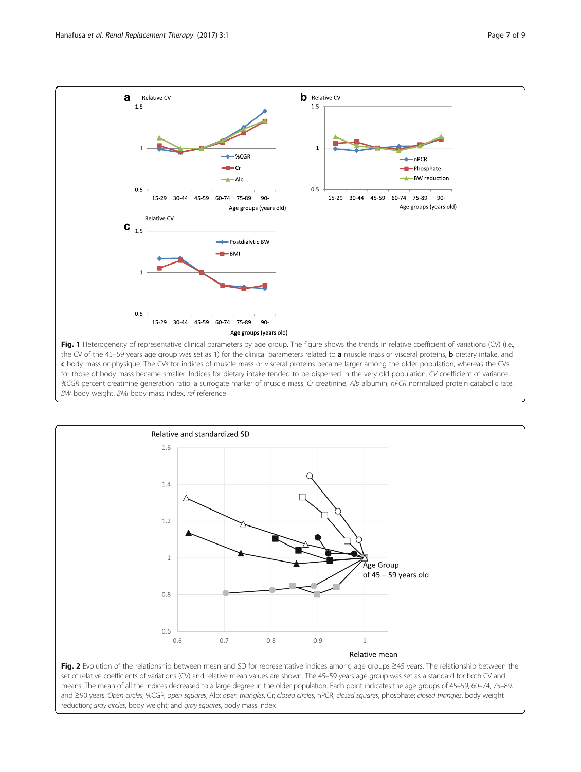<span id="page-6-0"></span>



set of relative coefficients of variations (CV) and relative mean values are shown. The 45–59 years age group was set as a standard for both CV and means. The mean of all the indices decreased to a large degree in the older population. Each point indicates the age groups of 45–59, 60–74, 75–89, and ≥90 years. Open circles, %CGR; open squares, Alb; open triangles, Cr; closed circles, nPCR; closed squares, phosphate; closed triangles, body weight reduction; gray circles, body weight; and gray squares, body mass index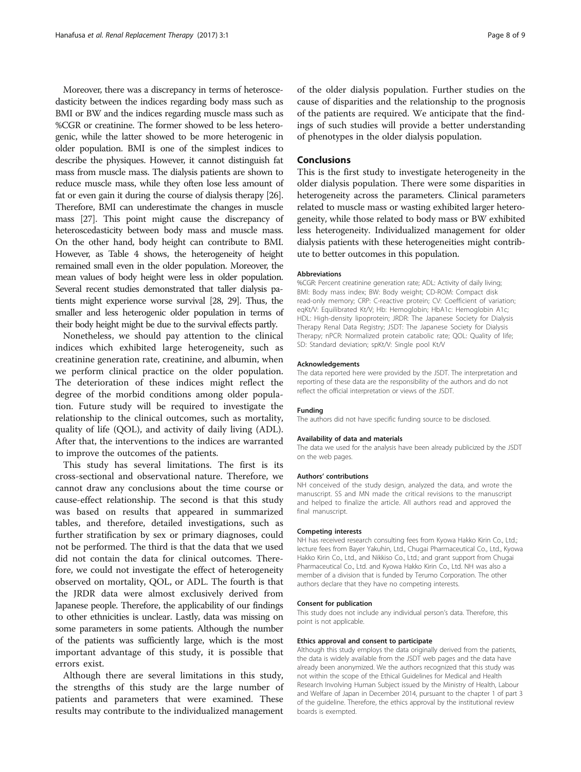Moreover, there was a discrepancy in terms of heteroscedasticity between the indices regarding body mass such as BMI or BW and the indices regarding muscle mass such as %CGR or creatinine. The former showed to be less heterogenic, while the latter showed to be more heterogenic in older population. BMI is one of the simplest indices to describe the physiques. However, it cannot distinguish fat mass from muscle mass. The dialysis patients are shown to reduce muscle mass, while they often lose less amount of fat or even gain it during the course of dialysis therapy [\[26](#page-8-0)]. Therefore, BMI can underestimate the changes in muscle mass [\[27\]](#page-8-0). This point might cause the discrepancy of heteroscedasticity between body mass and muscle mass. On the other hand, body height can contribute to BMI. However, as Table [4](#page-5-0) shows, the heterogeneity of height remained small even in the older population. Moreover, the mean values of body height were less in older population. Several recent studies demonstrated that taller dialysis patients might experience worse survival [\[28, 29\]](#page-8-0). Thus, the smaller and less heterogenic older population in terms of their body height might be due to the survival effects partly.

Nonetheless, we should pay attention to the clinical indices which exhibited large heterogeneity, such as creatinine generation rate, creatinine, and albumin, when we perform clinical practice on the older population. The deterioration of these indices might reflect the degree of the morbid conditions among older population. Future study will be required to investigate the relationship to the clinical outcomes, such as mortality, quality of life (QOL), and activity of daily living (ADL). After that, the interventions to the indices are warranted to improve the outcomes of the patients.

This study has several limitations. The first is its cross-sectional and observational nature. Therefore, we cannot draw any conclusions about the time course or cause-effect relationship. The second is that this study was based on results that appeared in summarized tables, and therefore, detailed investigations, such as further stratification by sex or primary diagnoses, could not be performed. The third is that the data that we used did not contain the data for clinical outcomes. Therefore, we could not investigate the effect of heterogeneity observed on mortality, QOL, or ADL. The fourth is that the JRDR data were almost exclusively derived from Japanese people. Therefore, the applicability of our findings to other ethnicities is unclear. Lastly, data was missing on some parameters in some patients. Although the number of the patients was sufficiently large, which is the most important advantage of this study, it is possible that errors exist.

Although there are several limitations in this study, the strengths of this study are the large number of patients and parameters that were examined. These results may contribute to the individualized management

of the older dialysis population. Further studies on the cause of disparities and the relationship to the prognosis of the patients are required. We anticipate that the findings of such studies will provide a better understanding of phenotypes in the older dialysis population.

## **Conclusions**

This is the first study to investigate heterogeneity in the older dialysis population. There were some disparities in heterogeneity across the parameters. Clinical parameters related to muscle mass or wasting exhibited larger heterogeneity, while those related to body mass or BW exhibited less heterogeneity. Individualized management for older dialysis patients with these heterogeneities might contribute to better outcomes in this population.

#### Abbreviations

%CGR: Percent creatinine generation rate; ADL: Activity of daily living; BMI: Body mass index; BW: Body weight; CD-ROM: Compact disk read-only memory; CRP: C-reactive protein; CV: Coefficient of variation; eqKt/V: Equilibrated Kt/V; Hb: Hemoglobin; HbA1c: Hemoglobin A1c; HDL: High-density lipoprotein; JRDR: The Japanese Society for Dialysis Therapy Renal Data Registry; JSDT: The Japanese Society for Dialysis Therapy; nPCR: Normalized protein catabolic rate; QOL: Quality of life; SD: Standard deviation; spKt/V: Single pool Kt/V

#### Acknowledgements

The data reported here were provided by the JSDT. The interpretation and reporting of these data are the responsibility of the authors and do not reflect the official interpretation or views of the JSDT.

#### Funding

The authors did not have specific funding source to be disclosed.

#### Availability of data and materials

The data we used for the analysis have been already publicized by the JSDT on the web pages.

#### Authors' contributions

NH conceived of the study design, analyzed the data, and wrote the manuscript. SS and MN made the critical revisions to the manuscript and helped to finalize the article. All authors read and approved the final manuscript.

#### Competing interests

NH has received research consulting fees from Kyowa Hakko Kirin Co., Ltd.; lecture fees from Bayer Yakuhin, Ltd., Chugai Pharmaceutical Co., Ltd., Kyowa Hakko Kirin Co., Ltd., and Nikkiso Co., Ltd.; and grant support from Chugai Pharmaceutical Co., Ltd. and Kyowa Hakko Kirin Co., Ltd. NH was also a member of a division that is funded by Terumo Corporation. The other authors declare that they have no competing interests.

#### Consent for publication

This study does not include any individual person's data. Therefore, this point is not applicable.

#### Ethics approval and consent to participate

Although this study employs the data originally derived from the patients, the data is widely available from the JSDT web pages and the data have already been anonymized. We the authors recognized that this study was not within the scope of the Ethical Guidelines for Medical and Health Research Involving Human Subject issued by the Ministry of Health, Labour and Welfare of Japan in December 2014, pursuant to the chapter 1 of part 3 of the guideline. Therefore, the ethics approval by the institutional review boards is exempted.